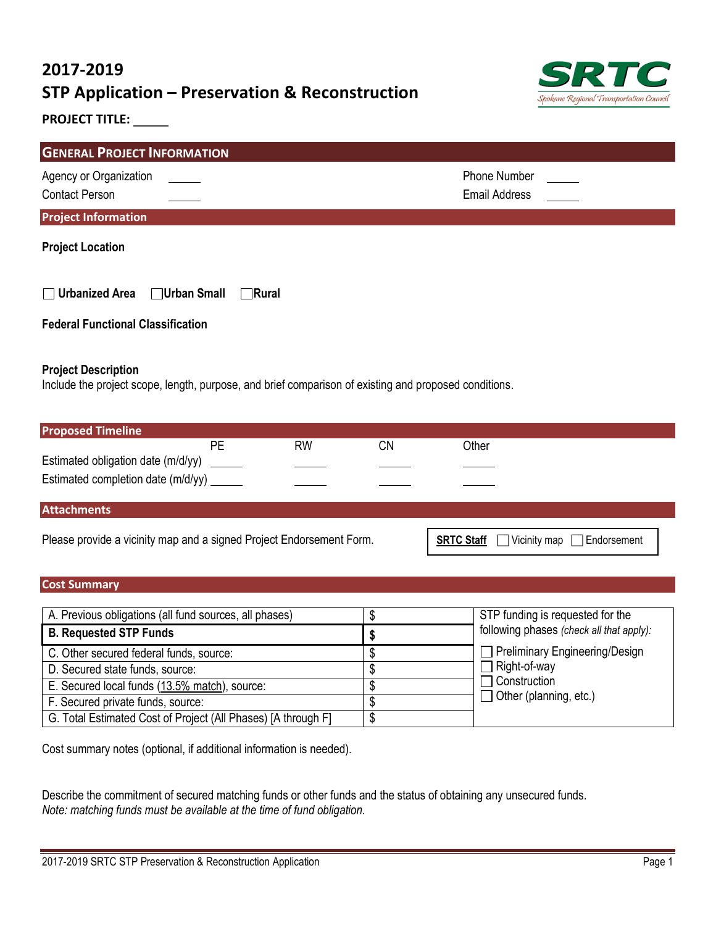# **2017-2019 STP Application – Preservation & Reconstruction**



## **PROJECT TITLE:**

| <b>GENERAL PROJECT INFORMATION</b>                    |                                      |  |  |
|-------------------------------------------------------|--------------------------------------|--|--|
| Agency or Organization<br><b>Contact Person</b>       | Phone Number<br><b>Email Address</b> |  |  |
| <b>Project Information</b>                            |                                      |  |  |
| <b>Project Location</b>                               |                                      |  |  |
| $\Box$ Urbanized Area<br>□Urban Small<br>$\neg$ Rural |                                      |  |  |
| <b>Federal Functional Classification</b>              |                                      |  |  |

#### **Project Description**

Include the project scope, length, purpose, and brief comparison of existing and proposed conditions.

| <b>Proposed Timeline</b>                                             |    |                   |                                      |       |  |  |
|----------------------------------------------------------------------|----|-------------------|--------------------------------------|-------|--|--|
|                                                                      | PE | <b>RW</b>         | CΝ                                   | Other |  |  |
| Estimated obligation date (m/d/yy)                                   |    |                   |                                      |       |  |  |
| Estimated completion date (m/d/yy) ______                            |    |                   |                                      |       |  |  |
| <b>Attachments</b>                                                   |    |                   |                                      |       |  |  |
| Please provide a vicinity map and a signed Project Endorsement Form. |    | <b>SRTC Staff</b> | $\Box$ Vicinity map [<br>Endorsement |       |  |  |

### **Cost Summary**

| A. Previous obligations (all fund sources, all phases)        | STP funding is requested for the         |
|---------------------------------------------------------------|------------------------------------------|
| <b>B. Requested STP Funds</b>                                 | following phases (check all that apply): |
| C. Other secured federal funds, source:                       | $\Box$ Preliminary Engineering/Design    |
| D. Secured state funds, source:                               | $\Box$ Right-of-way                      |
| E. Secured local funds (13.5% match), source:                 | $\Box$ Construction                      |
| F. Secured private funds, source:                             | $\Box$ Other (planning, etc.)            |
| G. Total Estimated Cost of Project (All Phases) [A through F] |                                          |

Cost summary notes (optional, if additional information is needed).

Describe the commitment of secured matching funds or other funds and the status of obtaining any unsecured funds. *Note: matching funds must be available at the time of fund obligation.*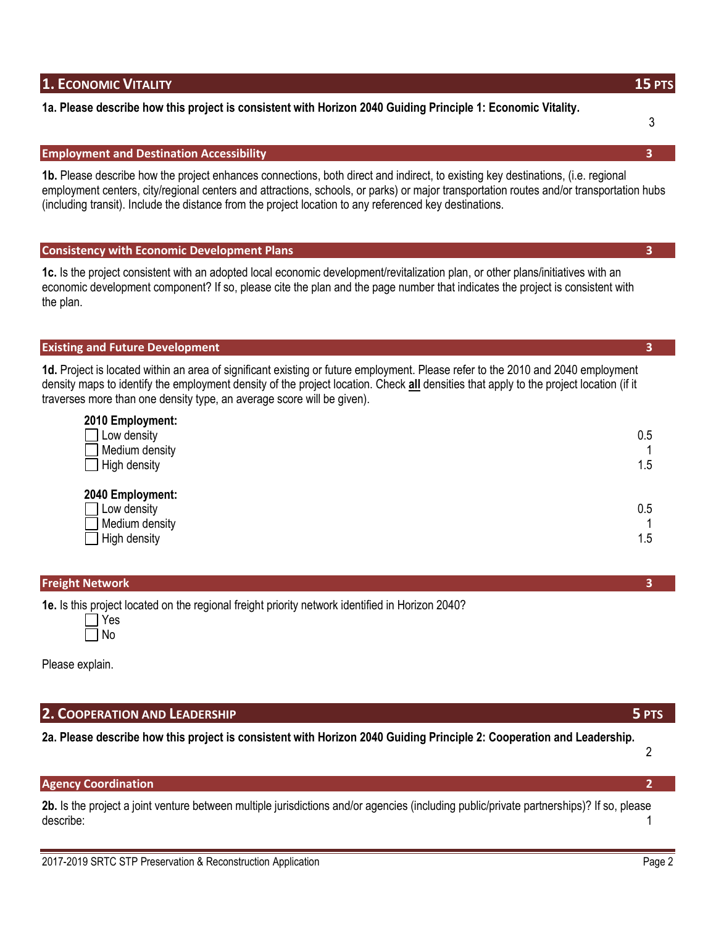# **1. ECONOMIC VITALITY 15 PTS**

# **1a. Please describe how this project is consistent with Horizon 2040 Guiding Principle 1: Economic Vitality.**

### **Employment and Destination Accessibility 3**

**1b.** Please describe how the project enhances connections, both direct and indirect, to existing key destinations, (i.e. regional employment centers, city/regional centers and attractions, schools, or parks) or major transportation routes and/or transportation hubs (including transit). Include the distance from the project location to any referenced key destinations.

|--|

**1c.** Is the project consistent with an adopted local economic development/revitalization plan, or other plans/initiatives with an economic development component? If so, please cite the plan and the page number that indicates the project is consistent with the plan.

#### **Existing and Future Development 3**

**1d.** Project is located within an area of significant existing or future employment. Please refer to the 2010 and 2040 employment density maps to identify the employment density of the project location. Check **all** densities that apply to the project location (if it traverses more than one density type, an average score will be given).

| 2010 Employment:<br>Low density<br>Medium density<br>High density | 0.5<br>1.5 |
|-------------------------------------------------------------------|------------|
| 2040 Employment:<br>Low density<br>Medium density<br>High density | 0.5<br>1.5 |

| <b>Freight Network</b> |  |
|------------------------|--|
| .                      |  |

**1e.** Is this project located on the regional freight priority network identified in Horizon 2040?

Please explain.

## **2. COOPERATION AND LEADERSHIP 5 PTS**

**2a. Please describe how this project is consistent with Horizon 2040 Guiding Principle 2: Cooperation and Leadership.**

2

# **Agency Coordination 2**

**2b.** Is the project a joint venture between multiple jurisdictions and/or agencies (including public/private partnerships)? If so, please describe: 1

3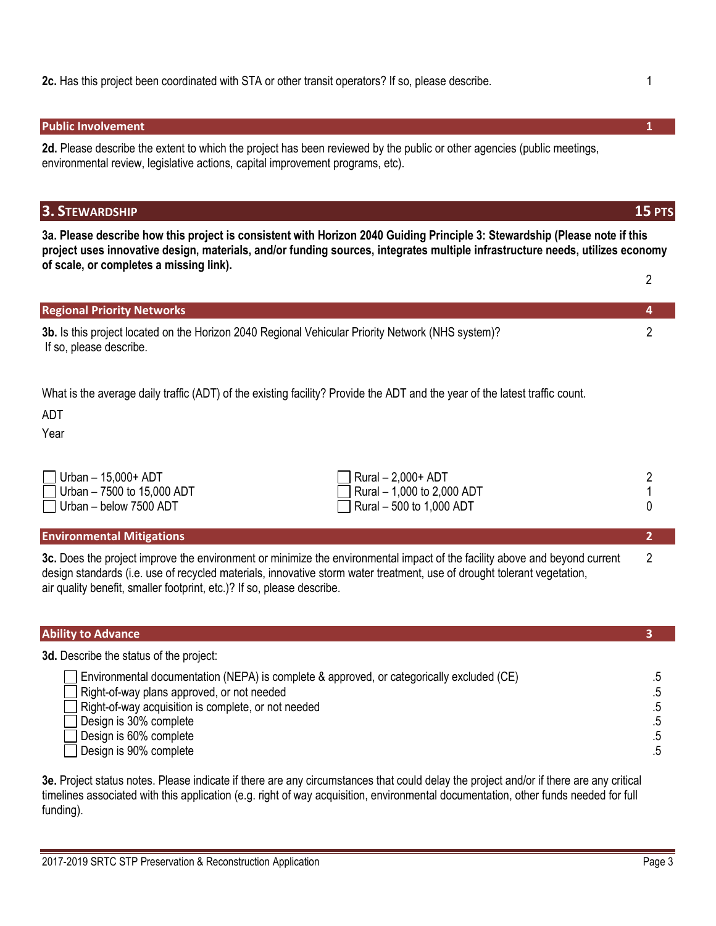### **Public Involvement 1**

**2d.** Please describe the extent to which the project has been reviewed by the public or other agencies (public meetings, environmental review, legislative actions, capital improvement programs, etc).

# **3. STEWARDSHIP 15 PTS**

**3a. Please describe how this project is consistent with Horizon 2040 Guiding Principle 3: Stewardship (Please note if this project uses innovative design, materials, and/or funding sources, integrates multiple infrastructure needs, utilizes economy of scale, or completes a missing link).**

| <b>Regional Priority Networks</b>                                                                                            |  |
|------------------------------------------------------------------------------------------------------------------------------|--|
| 3b. Is this project located on the Horizon 2040 Regional Vehicular Priority Network (NHS system)?<br>If so, please describe. |  |
|                                                                                                                              |  |

What is the average daily traffic (ADT) of the existing facility? Provide the ADT and the year of the latest traffic count.

ADT

Year

| <b>Environmental Mitigations</b>                                |                                                                  |  |
|-----------------------------------------------------------------|------------------------------------------------------------------|--|
| $\Box$ Urban – below 7500 ADT                                   | $\Box$ Rural – 500 to 1,000 ADT                                  |  |
| $\Box$ Urban – 15,000+ ADT<br>$\Box$ Urban – 7500 to 15,000 ADT | $\Box$ Rural $-$ 2,000+ ADT<br>$\Box$ Rural - 1,000 to 2,000 ADT |  |

**3c.** Does the project improve the environment or minimize the environmental impact of the facility above and beyond current 2 design standards (i.e. use of recycled materials, innovative storm water treatment, use of drought tolerant vegetation, air quality benefit, smaller footprint, etc.)? If so, please describe.

| <b>Ability to Advance</b>                                                                                                                                                                                                                                                    |                |
|------------------------------------------------------------------------------------------------------------------------------------------------------------------------------------------------------------------------------------------------------------------------------|----------------|
| 3d. Describe the status of the project:                                                                                                                                                                                                                                      |                |
| Environmental documentation (NEPA) is complete & approved, or categorically excluded (CE)<br>Right-of-way plans approved, or not needed<br>Right-of-way acquisition is complete, or not needed<br>Design is 30% complete<br>Design is 60% complete<br>Design is 90% complete | .5<br>.5<br>.5 |

**3e.** Project status notes. Please indicate if there are any circumstances that could delay the project and/or if there are any critical timelines associated with this application (e.g. right of way acquisition, environmental documentation, other funds needed for full funding).

2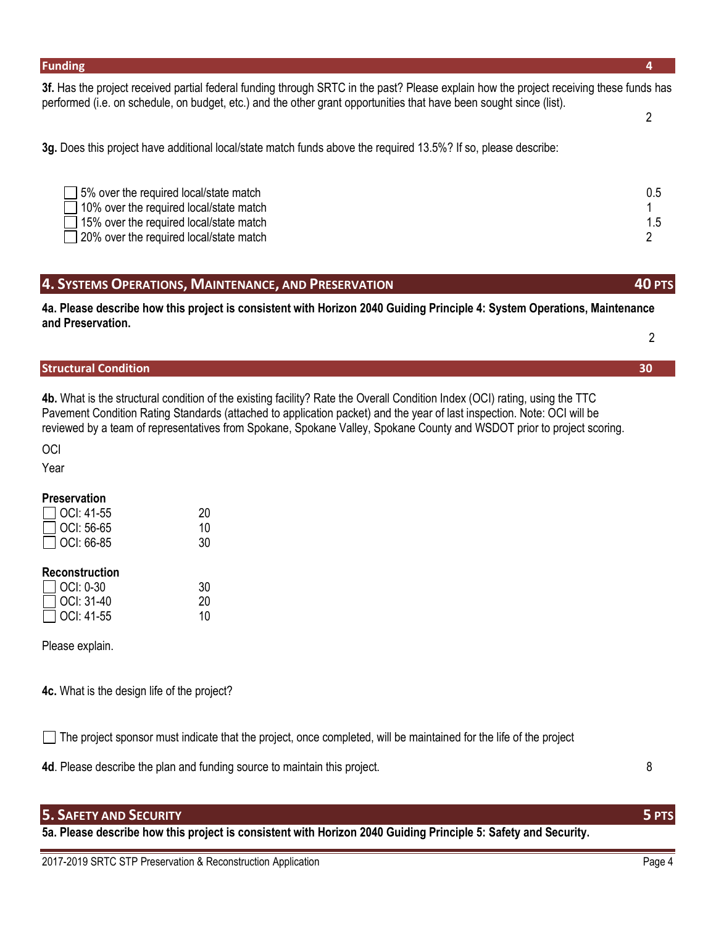#### **Funding 4**

**3f.** Has the project received partial federal funding through SRTC in the past? Please explain how the project receiving these funds has performed (i.e. on schedule, on budget, etc.) and the other grant opportunities that have been sought since (list).

**3g.** Does this project have additional local/state match funds above the required 13.5%? If so, please describe:

| 5% over the required local/state match         | 0.5 |
|------------------------------------------------|-----|
| 10% over the required local/state match        |     |
| $\Box$ 15% over the required local/state match |     |
| 20% over the required local/state match        |     |
|                                                |     |

**4. SYSTEMS OPERATIONS, MAINTENANCE, AND PRESERVATION 40 PTS**

**4a. Please describe how this project is consistent with Horizon 2040 Guiding Principle 4: System Operations, Maintenance and Preservation.**  $\mathfrak{p}$ 

# **Structural Condition 30**

**4b.** What is the structural condition of the existing facility? Rate the Overall Condition Index (OCI) rating, using the TTC Pavement Condition Rating Standards (attached to application packet) and the year of last inspection. Note: OCI will be reviewed by a team of representatives from Spokane, Spokane Valley, Spokane County and WSDOT prior to project scoring.

**OCI** 

Year

#### **Preservation**

| $\Box$ OCI: 41-55 | 20 |
|-------------------|----|
| $\Box$ OCI: 56-65 | 10 |
| $\Box$ OCI: 66-85 | 30 |
|                   |    |

### **Reconstruction**

| $\Box$ OCI: 0-30  | 30 |
|-------------------|----|
| $\Box$ OCI: 31-40 | 20 |
| $\Box$ OCI: 41-55 | 10 |

Please explain.

**4c.** What is the design life of the project?

 $\Box$  The project sponsor must indicate that the project, once completed, will be maintained for the life of the project

**4d**. Please describe the plan and funding source to maintain this project. 8

## **5. SAFETY AND SECURITY 5 PTS**

**5a. Please describe how this project is consistent with Horizon 2040 Guiding Principle 5: Safety and Security.**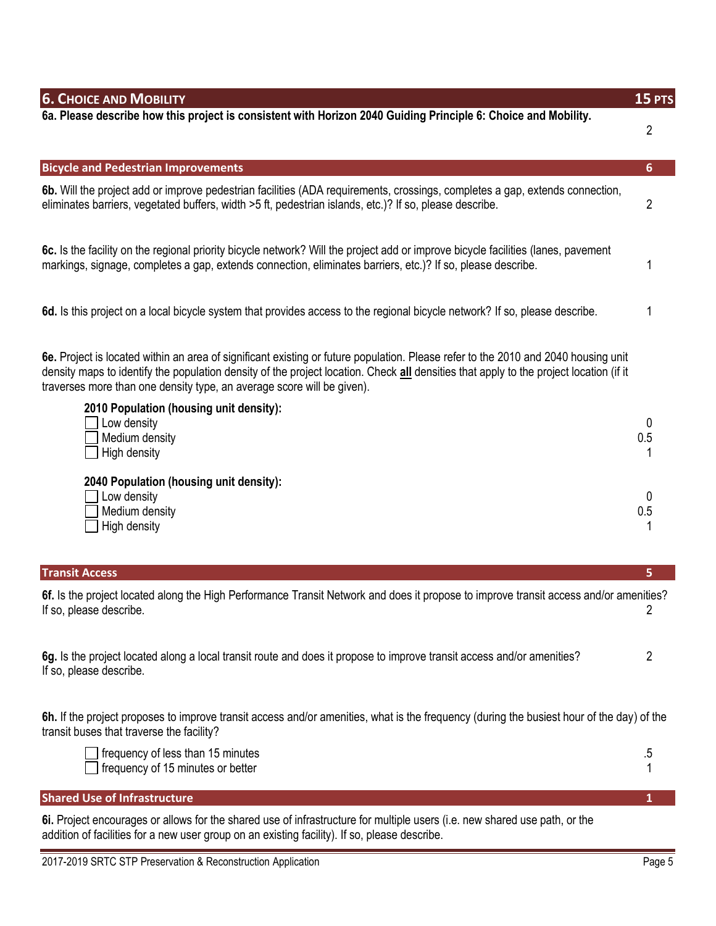| <b>6. CHOICE AND MOBILITY</b>                                                                                                                                                                                                                                                                                                                          | 15 PTS         |
|--------------------------------------------------------------------------------------------------------------------------------------------------------------------------------------------------------------------------------------------------------------------------------------------------------------------------------------------------------|----------------|
| 6a. Please describe how this project is consistent with Horizon 2040 Guiding Principle 6: Choice and Mobility.                                                                                                                                                                                                                                         | 2              |
| <b>Bicycle and Pedestrian Improvements</b>                                                                                                                                                                                                                                                                                                             | 6              |
| 6b. Will the project add or improve pedestrian facilities (ADA requirements, crossings, completes a gap, extends connection,<br>eliminates barriers, vegetated buffers, width >5 ft, pedestrian islands, etc.)? If so, please describe.                                                                                                                | $\overline{c}$ |
| 6c. Is the facility on the regional priority bicycle network? Will the project add or improve bicycle facilities (lanes, pavement<br>markings, signage, completes a gap, extends connection, eliminates barriers, etc.)? If so, please describe.                                                                                                       |                |
| 6d. Is this project on a local bicycle system that provides access to the regional bicycle network? If so, please describe.                                                                                                                                                                                                                            |                |
| 6e. Project is located within an area of significant existing or future population. Please refer to the 2010 and 2040 housing unit<br>density maps to identify the population density of the project location. Check all densities that apply to the project location (if it<br>traverses more than one density type, an average score will be given). |                |
| 2010 Population (housing unit density):                                                                                                                                                                                                                                                                                                                |                |
| Low density<br>Medium density                                                                                                                                                                                                                                                                                                                          | 0<br>0.5       |
| High density                                                                                                                                                                                                                                                                                                                                           |                |
| 2040 Population (housing unit density):                                                                                                                                                                                                                                                                                                                |                |
| Low density                                                                                                                                                                                                                                                                                                                                            | 0              |
| Medium density<br>High density                                                                                                                                                                                                                                                                                                                         | 0.5            |
|                                                                                                                                                                                                                                                                                                                                                        |                |
| <b>Transit Access</b>                                                                                                                                                                                                                                                                                                                                  | 5.             |
| 6f. Is the project located along the High Performance Transit Network and does it propose to improve transit access and/or amenities?<br>If so, please describe.                                                                                                                                                                                       |                |
| 6g. Is the project located along a local transit route and does it propose to improve transit access and/or amenities?<br>If so, please describe.                                                                                                                                                                                                      | $\overline{2}$ |
| 6h. If the project proposes to improve transit access and/or amenities, what is the frequency (during the busiest hour of the day) of the<br>transit buses that traverse the facility?                                                                                                                                                                 |                |
| frequency of less than 15 minutes<br>frequency of 15 minutes or better                                                                                                                                                                                                                                                                                 | $.5\,$         |
| <b>Shared Use of Infrastructure</b>                                                                                                                                                                                                                                                                                                                    |                |
| 6i. Project encourages or allows for the shared use of infrastructure for multiple users (i.e. new shared use path, or the<br>addition of facilities for a new user group on an existing facility). If so, please describe.                                                                                                                            |                |